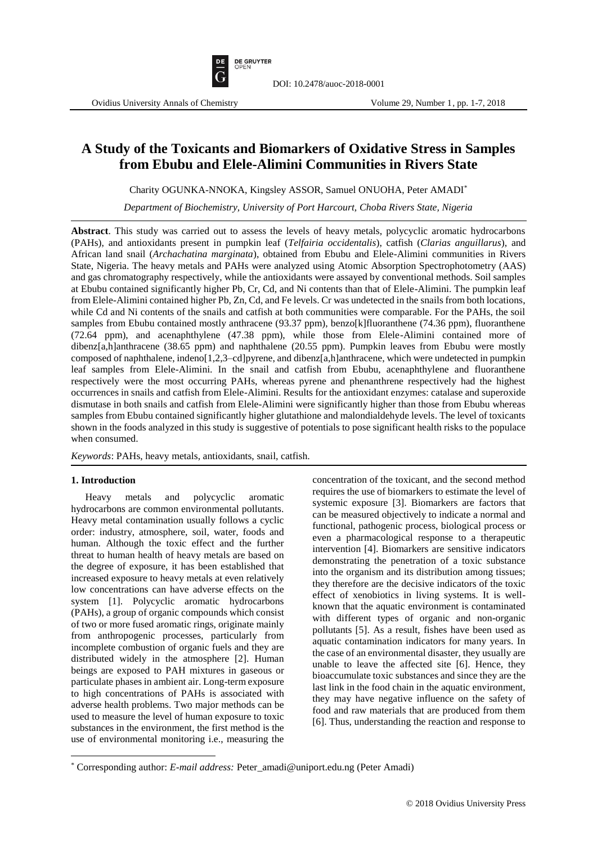

# **A Study of the Toxicants and Biomarkers of Oxidative Stress in Samples from Ebubu and Elele-Alimini Communities in Rivers State**

Charity OGUNKA-NNOKA, Kingsley ASSOR, Samuel ONUOHA, Peter AMADI\*

*Department of Biochemistry, University of Port Harcourt, Choba Rivers State, Nigeria*

**Abstract**. This study was carried out to assess the levels of heavy metals, polycyclic aromatic hydrocarbons (PAHs), and antioxidants present in pumpkin leaf (*Telfairia occidentalis*), catfish (*Clarias anguillarus*), and African land snail (*Archachatina marginata*), obtained from Ebubu and Elele-Alimini communities in Rivers State, Nigeria. The heavy metals and PAHs were analyzed using Atomic Absorption Spectrophotometry (AAS) and gas chromatography respectively, while the antioxidants were assayed by conventional methods. Soil samples at Ebubu contained significantly higher Pb, Cr, Cd, and Ni contents than that of Elele-Alimini. The pumpkin leaf from Elele-Alimini contained higher Pb, Zn, Cd, and Fe levels. Cr was undetected in the snails from both locations, while Cd and Ni contents of the snails and catfish at both communities were comparable. For the PAHs, the soil samples from Ebubu contained mostly anthracene (93.37 ppm), benzo[k]fluoranthene (74.36 ppm), fluoranthene (72.64 ppm), and acenaphthylene (47.38 ppm), while those from Elele-Alimini contained more of dibenz[a,h]anthracene (38.65 ppm) and naphthalene (20.55 ppm). Pumpkin leaves from Ebubu were mostly composed of naphthalene, indeno[1,2,3–cd]pyrene, and dibenz[a,h]anthracene, which were undetected in pumpkin leaf samples from Elele-Alimini. In the snail and catfish from Ebubu, acenaphthylene and fluoranthene respectively were the most occurring PAHs, whereas pyrene and phenanthrene respectively had the highest occurrences in snails and catfish from Elele-Alimini. Results for the antioxidant enzymes: catalase and superoxide dismutase in both snails and catfish from Elele-Alimini were significantly higher than those from Ebubu whereas samples from Ebubu contained significantly higher glutathione and malondialdehyde levels. The level of toxicants shown in the foods analyzed in this study is suggestive of potentials to pose significant health risks to the populace when consumed.

*Keywords*: PAHs, heavy metals, antioxidants, snail, catfish.

# **1. Introduction**

 $\overline{\phantom{a}}$ 

Heavy metals and polycyclic aromatic hydrocarbons are common environmental pollutants. Heavy metal contamination usually follows a cyclic order: industry, atmosphere, soil, water, foods and human. Although the toxic effect and the further threat to human health of heavy metals are based on the degree of exposure, it has been established that increased exposure to heavy metals at even relatively low concentrations can have adverse effects on the system [1]. Polycyclic aromatic hydrocarbons (PAHs), a group of organic compounds which consist of two or more fused aromatic rings, originate mainly from anthropogenic processes, particularly from incomplete combustion of organic fuels and they are distributed widely in the atmosphere [2]. Human beings are exposed to PAH mixtures in gaseous or particulate phases in ambient air. Long-term exposure to high concentrations of PAHs is associated with adverse health problems. Two major methods can be used to measure the level of human exposure to toxic substances in the environment, the first method is the use of environmental monitoring i.e., measuring the concentration of the toxicant, and the second method requires the use of biomarkers to estimate the level of systemic exposure [3]. Biomarkers are factors that can be measured objectively to indicate a normal and functional, pathogenic process, biological process or even a pharmacological response to a therapeutic intervention [4]. Biomarkers are sensitive indicators demonstrating the penetration of a toxic substance into the organism and its distribution among tissues; they therefore are the decisive indicators of the toxic effect of xenobiotics in living systems. It is wellknown that the aquatic environment is contaminated with different types of organic and non-organic pollutants [5]. As a result, fishes have been used as aquatic contamination indicators for many years. In the case of an environmental disaster, they usually are unable to leave the affected site [6]. Hence, they bioaccumulate toxic substances and since they are the last link in the food chain in the aquatic environment, they may have negative influence on the safety of food and raw materials that are produced from them [6]. Thus, understanding the reaction and response to

<sup>\*</sup> Corresponding author: *E-mail address:* Peter\_amadi@uniport.edu.ng (Peter Amadi)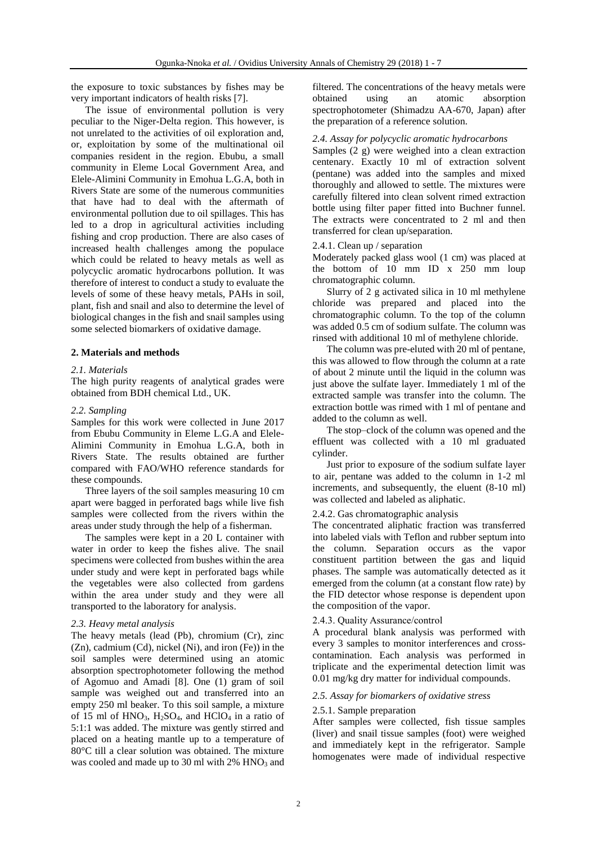the exposure to toxic substances by fishes may be very important indicators of health risks [7].

The issue of environmental pollution is very peculiar to the Niger-Delta region. This however, is not unrelated to the activities of oil exploration and, or, exploitation by some of the multinational oil companies resident in the region. Ebubu, a small community in Eleme Local Government Area, and Elele-Alimini Community in Emohua L.G.A, both in Rivers State are some of the numerous communities that have had to deal with the aftermath of environmental pollution due to oil spillages. This has led to a drop in agricultural activities including fishing and crop production. There are also cases of increased health challenges among the populace which could be related to heavy metals as well as polycyclic aromatic hydrocarbons pollution. It was therefore of interest to conduct a study to evaluate the levels of some of these heavy metals, PAHs in soil, plant, fish and snail and also to determine the level of biological changes in the fish and snail samples using some selected biomarkers of oxidative damage.

## **2. Materials and methods**

### *2.1. Materials*

The high purity reagents of analytical grades were obtained from BDH chemical Ltd., UK.

# *2.2. Sampling*

Samples for this work were collected in June 2017 from Ebubu Community in Eleme L.G.A and Elele-Alimini Community in Emohua L.G.A, both in Rivers State. The results obtained are further compared with FAO/WHO reference standards for these compounds.

Three layers of the soil samples measuring 10 cm apart were bagged in perforated bags while live fish samples were collected from the rivers within the areas under study through the help of a fisherman.

The samples were kept in a 20 L container with water in order to keep the fishes alive. The snail specimens were collected from bushes within the area under study and were kept in perforated bags while the vegetables were also collected from gardens within the area under study and they were all transported to the laboratory for analysis.

#### *2.3. Heavy metal analysis*

The heavy metals (lead (Pb), chromium (Cr), zinc (Zn), cadmium (Cd), nickel (Ni), and iron (Fe)) in the soil samples were determined using an atomic absorption spectrophotometer following the method of Agomuo and Amadi [8]. One (1) gram of soil sample was weighed out and transferred into an empty 250 ml beaker. To this soil sample, a mixture of 15 ml of  $HNO<sub>3</sub>$ ,  $H<sub>2</sub>SO<sub>4</sub>$ , and  $HClO<sub>4</sub>$  in a ratio of 5:1:1 was added. The mixture was gently stirred and placed on a heating mantle up to a temperature of 80°C till a clear solution was obtained. The mixture was cooled and made up to 30 ml with  $2\%$  HNO<sub>3</sub> and filtered. The concentrations of the heavy metals were obtained using an atomic absorption spectrophotometer (Shimadzu AA-670, Japan) after the preparation of a reference solution.

# *2.4. Assay for polycyclic aromatic hydrocarbons*

Samples (2 g) were weighed into a clean extraction centenary. Exactly 10 ml of extraction solvent (pentane) was added into the samples and mixed thoroughly and allowed to settle. The mixtures were carefully filtered into clean solvent rimed extraction bottle using filter paper fitted into Buchner funnel. The extracts were concentrated to 2 ml and then transferred for clean up/separation.

# 2.4.1. Clean up / separation

Moderately packed glass wool (1 cm) was placed at the bottom of 10 mm ID x 250 mm loup chromatographic column.

Slurry of 2 g activated silica in 10 ml methylene chloride was prepared and placed into the chromatographic column. To the top of the column was added 0.5 cm of sodium sulfate. The column was rinsed with additional 10 ml of methylene chloride.

The column was pre-eluted with 20 ml of pentane, this was allowed to flow through the column at a rate of about 2 minute until the liquid in the column was just above the sulfate layer. Immediately 1 ml of the extracted sample was transfer into the column. The extraction bottle was rimed with 1 ml of pentane and added to the column as well.

The stop–clock of the column was opened and the effluent was collected with a 10 ml graduated cylinder.

Just prior to exposure of the sodium sulfate layer to air, pentane was added to the column in 1-2 ml increments, and subsequently, the eluent (8-10 ml) was collected and labeled as aliphatic.

# 2.4.2. Gas chromatographic analysis

The concentrated aliphatic fraction was transferred into labeled vials with Teflon and rubber septum into the column. Separation occurs as the vapor constituent partition between the gas and liquid phases. The sample was automatically detected as it emerged from the column (at a constant flow rate) by the FID detector whose response is dependent upon the composition of the vapor.

### 2.4.3. Quality Assurance/control

A procedural blank analysis was performed with every 3 samples to monitor interferences and crosscontamination. Each analysis was performed in triplicate and the experimental detection limit was 0.01 mg/kg dry matter for individual compounds.

# *2.5. Assay for biomarkers of oxidative stress*

### 2.5.1. Sample preparation

After samples were collected, fish tissue samples (liver) and snail tissue samples (foot) were weighed and immediately kept in the refrigerator. Sample homogenates were made of individual respective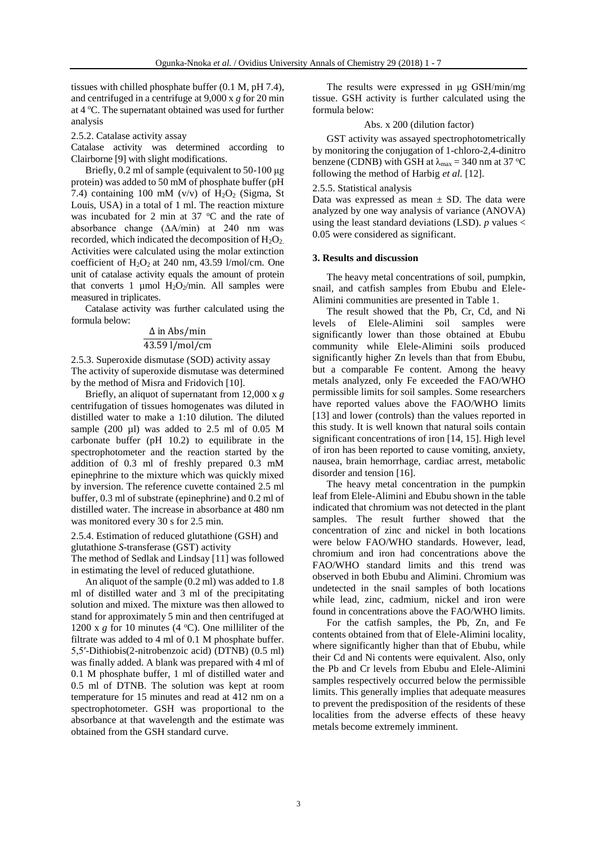tissues with chilled phosphate buffer (0.1 M, pH 7.4), and centrifuged in a centrifuge at 9,000 x *g* for 20 min at 4 <sup>o</sup>C. The supernatant obtained was used for further analysis

2.5.2. Catalase activity assay

Catalase activity was determined according to Clairborne [9] with slight modifications.

Briefly, 0.2 ml of sample (equivalent to 50-100 μg protein) was added to 50 mM of phosphate buffer (pH 7.4) containing 100 mM (v/v) of  $H_2O_2$  (Sigma, St Louis, USA) in a total of 1 ml. The reaction mixture was incubated for 2 min at  $37^{\circ}$ C and the rate of absorbance change (∆A/min) at 240 nm was recorded, which indicated the decomposition of  $H_2O_2$ . Activities were calculated using the molar extinction coefficient of  $H_2O_2$  at 240 nm, 43.59 l/mol/cm. One unit of catalase activity equals the amount of protein that converts 1 µmol  $H_2O_2/m$ in. All samples were measured in triplicates.

Catalase activity was further calculated using the formula below:

#### Δ in Abs/min

# 43.59 l/mol/cm

2.5.3. Superoxide dismutase (SOD) activity assay The activity of superoxide dismutase was determined by the method of Misra and Fridovich [10].

Briefly, an aliquot of supernatant from 12,000 x *g* centrifugation of tissues homogenates was diluted in distilled water to make a 1:10 dilution. The diluted sample  $(200 \text{ µl})$  was added to  $2.5 \text{ ml}$  of  $0.05 \text{ M}$ carbonate buffer (pH 10.2) to equilibrate in the spectrophotometer and the reaction started by the addition of 0.3 ml of freshly prepared 0.3 mM epinephrine to the mixture which was quickly mixed by inversion. The reference cuvette contained 2.5 ml buffer, 0.3 ml of substrate (epinephrine) and 0.2 ml of distilled water. The increase in absorbance at 480 nm was monitored every 30 s for 2.5 min.

2.5.4. Estimation of reduced glutathione (GSH) and glutathione *S*-transferase (GST) activity

The method of Sedlak and Lindsay [11] was followed in estimating the level of reduced glutathione.

An aliquot of the sample (0.2 ml) was added to 1.8 ml of distilled water and 3 ml of the precipitating solution and mixed. The mixture was then allowed to stand for approximately 5 min and then centrifuged at 1200 x  $g$  for 10 minutes (4  $^{\circ}$ C). One milliliter of the filtrate was added to 4 ml of 0.1 M phosphate buffer. 5,5′-Dithiobis(2-nitrobenzoic acid) (DTNB) (0.5 ml) was finally added. A blank was prepared with 4 ml of 0.1 M phosphate buffer, 1 ml of distilled water and 0.5 ml of DTNB. The solution was kept at room temperature for 15 minutes and read at 412 nm on a spectrophotometer. GSH was proportional to the absorbance at that wavelength and the estimate was obtained from the GSH standard curve.

The results were expressed in μg GSH/min/mg tissue. GSH activity is further calculated using the formula below:

### Abs. x 200 (dilution factor)

GST activity was assayed spectrophotometrically by monitoring the conjugation of 1-chloro-2,4-dinitro benzene (CDNB) with GSH at  $\lambda_{\text{max}} = 340$  nm at 37 °C following the method of Harbig *et al.* [12].

#### 2.5.5. Statistical analysis

Data was expressed as mean  $\pm$  SD. The data were analyzed by one way analysis of variance (ANOVA) using the least standard deviations (LSD).  $p$  values  $\lt$ 0.05 were considered as significant.

#### **3. Results and discussion**

The heavy metal concentrations of soil, pumpkin, snail, and catfish samples from Ebubu and Elele-Alimini communities are presented in Table 1.

The result showed that the Pb, Cr, Cd, and Ni levels of Elele-Alimini soil samples were significantly lower than those obtained at Ebubu community while Elele-Alimini soils produced significantly higher Zn levels than that from Ebubu, but a comparable Fe content. Among the heavy metals analyzed, only Fe exceeded the FAO/WHO permissible limits for soil samples. Some researchers have reported values above the FAO/WHO limits [13] and lower (controls) than the values reported in this study. It is well known that natural soils contain significant concentrations of iron [14, 15]. High level of iron has been reported to cause vomiting, anxiety, nausea, brain hemorrhage, cardiac arrest, metabolic disorder and tension [16].

The heavy metal concentration in the pumpkin leaf from Elele-Alimini and Ebubu shown in the table indicated that chromium was not detected in the plant samples. The result further showed that the concentration of zinc and nickel in both locations were below FAO/WHO standards. However, lead, chromium and iron had concentrations above the FAO/WHO standard limits and this trend was observed in both Ebubu and Alimini. Chromium was undetected in the snail samples of both locations while lead, zinc, cadmium, nickel and iron were found in concentrations above the FAO/WHO limits.

For the catfish samples, the Pb, Zn, and Fe contents obtained from that of Elele-Alimini locality, where significantly higher than that of Ebubu, while their Cd and Ni contents were equivalent. Also, only the Pb and Cr levels from Ebubu and Elele-Alimini samples respectively occurred below the permissible limits. This generally implies that adequate measures to prevent the predisposition of the residents of these localities from the adverse effects of these heavy metals become extremely imminent.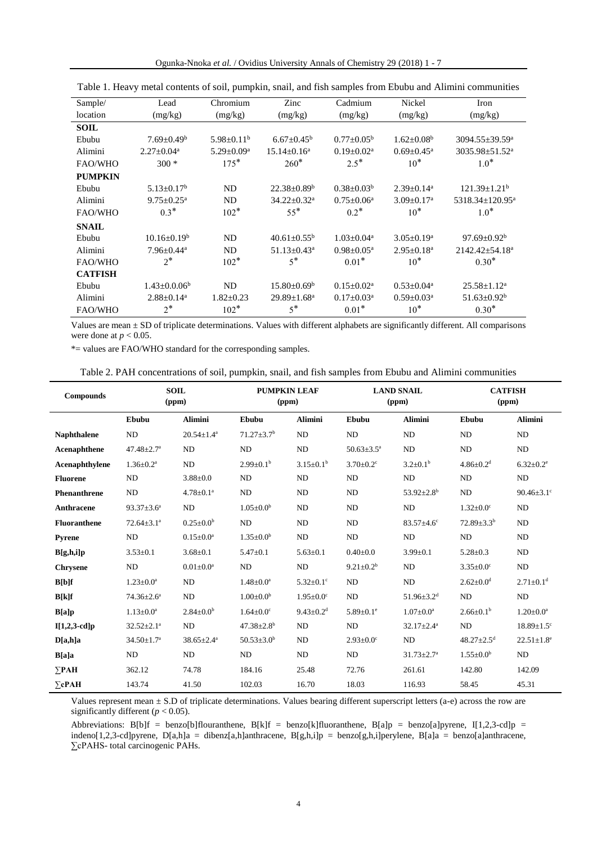| Ogunka-Nnoka et al. / Ovidius University Annals of Chemistry 29 (2018) 1 - 7 |  |
|------------------------------------------------------------------------------|--|
|------------------------------------------------------------------------------|--|

| Sample/        | Lead                         | Chromium          | Zinc                          | Cadmium                    | Nickel                       | Iron                            |
|----------------|------------------------------|-------------------|-------------------------------|----------------------------|------------------------------|---------------------------------|
| location       | (mg/kg)                      | (mg/kg)           | (mg/kg)                       | (mg/kg)                    | (mg/kg)                      | (mg/kg)                         |
| <b>SOIL</b>    |                              |                   |                               |                            |                              |                                 |
| Ebubu          | $7.69 \pm 0.49^b$            | $5.98 + 0.11^b$   | $6.67 \pm 0.45^{\rm b}$       | $0.77 \pm 0.05^{\rm b}$    | $1.62 \pm 0.08^b$            | $3094.55 \pm 39.59^a$           |
| Alimini        | $2.27 \pm 0.04^a$            | $5.29 \pm 0.09^a$ | $15.14 \pm 0.16^a$            | $0.19 \pm 0.02^a$          | $0.69 \pm 0.45^{\text{a}}$   | $3035.98 \pm 51.52^a$           |
| FAO/WHO        | $300*$                       | $175*$            | $260*$                        | $2.5*$                     | $10*$                        | $1.0*$                          |
| <b>PUMPKIN</b> |                              |                   |                               |                            |                              |                                 |
| Ebubu          | $5.13 \pm 0.17^b$            | ND                | $22.38 \pm 0.89^b$            | $0.38 \pm 0.03^b$          | $2.39 \pm 0.14^a$            | $121.39 \pm 1.21^b$             |
| Alimini        | $9.75 \pm 0.25$ <sup>a</sup> | <b>ND</b>         | $34.22 \pm 0.32$ <sup>a</sup> | $0.75 \pm 0.06^a$          | $3.09 \pm 0.17$ <sup>a</sup> | $5318.34 \pm 120.95^{\text{a}}$ |
| FAO/WHO        | $0.3*$                       | $102*$            | $55*$                         | $0.2*$                     | $10*$                        | $1.0*$                          |
| <b>SNAIL</b>   |                              |                   |                               |                            |                              |                                 |
| Ebubu          | $10.16 \pm 0.19^b$           | ND                | $40.61 \pm 0.55^{\rm b}$      | $1.03 \pm 0.04^a$          | $3.05 \pm 0.19^a$            | $97.69 \pm 0.92^b$              |
| Alimini        | $7.96 \pm 0.44$ <sup>a</sup> | ND                | $51.13 \pm 0.43$ <sup>a</sup> | $0.98 \pm 0.05^{\text{a}}$ | $2.95 \pm 0.18^a$            | 2142.42±54.18 <sup>a</sup>      |
| FAO/WHO        | $2^*$                        | $102*$            | $5^*$                         | $0.01*$                    | $10*$                        | $0.30*$                         |
| <b>CATFISH</b> |                              |                   |                               |                            |                              |                                 |
| Ebubu          | $1.43 \pm 0.0.06^b$          | <b>ND</b>         | $15.80 \pm 0.69^{\rm b}$      | $0.15 \pm 0.02^a$          | $0.53 \pm 0.04^a$            | $25.58 \pm 1.12^a$              |
| Alimini        | $2.88 \pm 0.14$ <sup>a</sup> | $1.82 \pm 0.23$   | 29.89±1.68 <sup>a</sup>       | $0.17 \pm 0.03^a$          | $0.59 \pm 0.03^{\text{a}}$   | $51.63 \pm 0.92^b$              |
| <b>FAO/WHO</b> | $2^*$                        | $102*$            | $5^*$                         | $0.01*$                    | $10*$                        | $0.30*$                         |

| Table 1. Heavy metal contents of soil, pumpkin, snail, and fish samples from Ebubu and Alimini communities |  |  |  |  |
|------------------------------------------------------------------------------------------------------------|--|--|--|--|
|------------------------------------------------------------------------------------------------------------|--|--|--|--|

Values are mean ± SD of triplicate determinations. Values with different alphabets are significantly different. All comparisons were done at  $p < 0.05$ .

\*= values are FAO/WHO standard for the corresponding samples.

| Table 2. PAH concentrations of soil, pumpkin, snail, and fish samples from Ebubu and Alimini communities |  |  |  |  |  |  |  |  |  |  |
|----------------------------------------------------------------------------------------------------------|--|--|--|--|--|--|--|--|--|--|
|----------------------------------------------------------------------------------------------------------|--|--|--|--|--|--|--|--|--|--|

| <b>Compounds</b>    |                              | <b>SOIL</b><br>(ppm) | <b>PUMPKIN LEAF</b><br>(ppm) |                             |                             | <b>LAND SNAIL</b><br>(ppm)   | <b>CATFISH</b><br>(ppm)      |                              |  |
|---------------------|------------------------------|----------------------|------------------------------|-----------------------------|-----------------------------|------------------------------|------------------------------|------------------------------|--|
|                     | Ebubu                        | <b>Alimini</b>       | Ebubu                        | <b>Alimini</b>              | Ebubu                       | <b>Alimini</b>               | Ebubu                        | <b>Alimini</b>               |  |
| <b>Naphthalene</b>  | ND                           | $20.54 \pm 1.4^a$    | $71.27 \pm 3.7$ <sup>b</sup> | ND                          | ND                          | <b>ND</b>                    | ND                           | ND                           |  |
| Acenaphthene        | $47.48 \pm 2.7$ <sup>a</sup> | <b>ND</b>            | ND                           | ND                          | $50.63 \pm 3.5^{\text{a}}$  | ND                           | ND                           | ND                           |  |
| Acenaphthylene      | $1.36 \pm 0.2^a$             | ND                   | $2.99 \pm 0.1^{\rm b}$       | $3.15 \pm 0.1^b$            | $3.70 \pm 0.2$ <sup>c</sup> | $3.2 \pm 0.1^b$              | $4.86 \pm 0.2$ <sup>d</sup>  | $6.32 \pm 0.2$ <sup>e</sup>  |  |
| <b>Fluorene</b>     | ND                           | $3.88 \pm 0.0$       | ND                           | ND                          | ND                          | ND                           | ND                           | ND                           |  |
| <b>Phenanthrene</b> | ND                           | $4.78 \pm 0.1^a$     | <b>ND</b>                    | ND                          | N <sub>D</sub>              | $53.92 \pm 2.8^{\rm b}$      | ND                           | $90.46 \pm 3.1$ <sup>c</sup> |  |
| <b>Anthracene</b>   | $93.37 \pm 3.6^a$            | ND                   | $1.05 \pm 0.0^b$             | ND                          | N <sub>D</sub>              | ND                           | $1.32 \pm 0.0$ <sup>c</sup>  | ND                           |  |
| <b>Fluoranthene</b> | $72.64 \pm 3.1^a$            | $0.25 \pm 0.0^b$     | ND                           | ND                          | N <sub>D</sub>              | $83.57 \pm 4.6$ °            | $72.89 \pm 3.3^b$            | ND                           |  |
| <b>Pyrene</b>       | ND                           | $0.15 \pm 0.0^a$     | $1.35 \pm 0.0^b$             | ND                          | N <sub>D</sub>              | <b>ND</b>                    | ND                           | ND                           |  |
| B[g,h,i]p           | $3.53 \pm 0.1$               | $3.68 \pm 0.1$       | $5.47 + 0.1$                 | $5.63 \pm 0.1$              | $0.40 + 0.0$                | $3.99 \pm 0.1$               | $5.28 \pm 0.3$               | ND                           |  |
| <b>Chrysene</b>     | ND                           | $0.01 \pm 0.0^a$     | ND                           | ND                          | $9.21 \pm 0.2^b$            | ND                           | $3.35 \pm 0.0$ <sup>c</sup>  | ND                           |  |
| $B[b]$ f            | $1.23 \pm 0.0^a$             | ND                   | $1.48 \pm 0.0^a$             | $5.32 \pm 0.1$ <sup>c</sup> | N <sub>D</sub>              | <b>ND</b>                    | $2.62 \pm 0.0^d$             | $2.71 \pm 0.1$ <sup>d</sup>  |  |
| B[k]f               | $74.36 \pm 2.6^a$            | ND                   | $1.00 \pm 0.0^b$             | $1.95 \pm 0.0^{\circ}$      | ND                          | $51.96 \pm 3.2$ <sup>d</sup> | ND                           | ND                           |  |
| B[a]p               | $1.13 \pm 0.0^a$             | $2.84 \pm 0.0^b$     | $1.64 \pm 0.0$ <sup>c</sup>  | $9.43 \pm 0.2$ <sup>d</sup> | $5.89 \pm 0.1$ <sup>e</sup> | $1.07 \pm 0.0^a$             | $2.66 \pm 0.1^b$             | $1.20 \pm 0.0^a$             |  |
| $I[1,2,3-cd]p$      | $32.52 \pm 2.1^a$            | ND                   | $47.38 \pm 2.8$ <sup>b</sup> | ND                          | N <sub>D</sub>              | $32.17 \pm 2.4^a$            | ND                           | $18.89 \pm 1.5$ <sup>c</sup> |  |
| D[a,h]a             | $34.50 \pm 1.7^a$            | $38.65 \pm 2.4^a$    | $50.53 \pm 3.0^b$            | ND                          | $2.93 \pm 0.0$ <sup>c</sup> | ND                           | $48.27 \pm 2.5$ <sup>d</sup> | $22.51 \pm 1.8$ <sup>e</sup> |  |
| B[a]a               | ND                           | ND                   | <b>ND</b>                    | ND                          | ND                          | $31.73 \pm 2.7$ <sup>a</sup> | $1.55 \pm 0.0^b$             | ND                           |  |
| $\Sigma$ PAH        | 362.12                       | 74.78                | 184.16                       | 25.48                       | 72.76                       | 261.61                       | 142.80                       | 142.09                       |  |
| $\Sigma$ cPAH       | 143.74                       | 41.50                | 102.03                       | 16.70                       | 18.03                       | 116.93                       | 58.45                        | 45.31                        |  |

Values represent mean  $\pm$  S.D of triplicate determinations. Values bearing different superscript letters (a-e) across the row are significantly different  $(p < 0.05)$ .

Abbreviations: B[b]f = benzo[b]flouranthene, B[k]f = benzo[k]fluoranthene, B[a]p = benzo[a]pyrene, I[1,2,3-cd]p = indeno[1,2,3-cd]pyrene, D[a,h]a = dibenz[a,h]anthracene, B[g,h,i]p = benzo[g,h,i]perylene, B[a]a = benzo[a]anthracene, ∑cPAHS- total carcinogenic PAHs.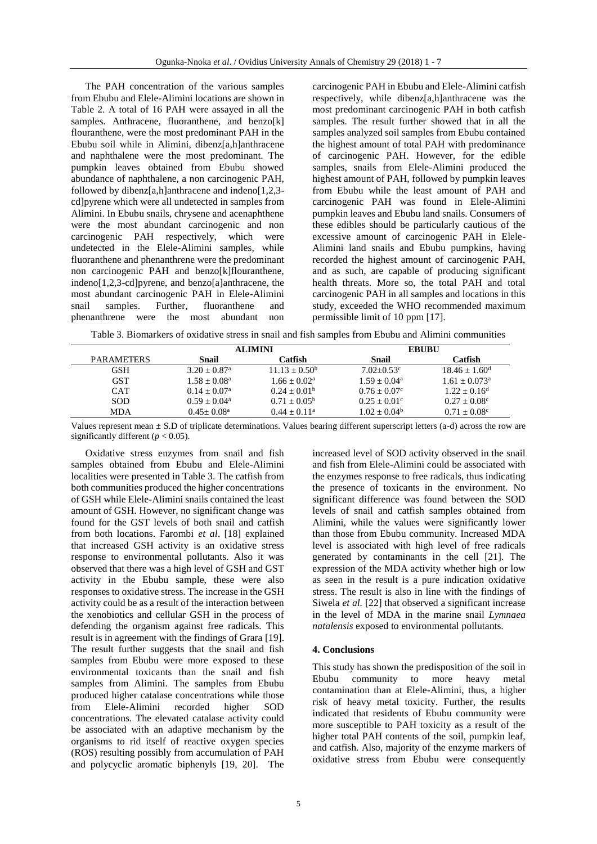The PAH concentration of the various samples from Ebubu and Elele-Alimini locations are shown in Table 2. A total of 16 PAH were assayed in all the samples. Anthracene, fluoranthene, and benzo[k] flouranthene, were the most predominant PAH in the Ebubu soil while in Alimini, dibenz[a,h]anthracene and naphthalene were the most predominant. The pumpkin leaves obtained from Ebubu showed abundance of naphthalene, a non carcinogenic PAH, followed by dibenz[a,h]anthracene and indeno[1,2,3 cd]pyrene which were all undetected in samples from Alimini. In Ebubu snails, chrysene and acenaphthene were the most abundant carcinogenic and non carcinogenic PAH respectively, which were undetected in the Elele-Alimini samples, while fluoranthene and phenanthrene were the predominant non carcinogenic PAH and benzo[k]flouranthene, indeno[1,2,3-cd]pyrene, and benzo[a]anthracene, the most abundant carcinogenic PAH in Elele-Alimini<br>snail samples. Further, fluoranthene and snail samples. Further, fluoranthene and phenanthrene were the most abundant non

carcinogenic PAH in Ebubu and Elele-Alimini catfish respectively, while dibenz[a,h]anthracene was the most predominant carcinogenic PAH in both catfish samples. The result further showed that in all the samples analyzed soil samples from Ebubu contained the highest amount of total PAH with predominance of carcinogenic PAH. However, for the edible samples, snails from Elele-Alimini produced the highest amount of PAH, followed by pumpkin leaves from Ebubu while the least amount of PAH and carcinogenic PAH was found in Elele-Alimini pumpkin leaves and Ebubu land snails. Consumers of these edibles should be particularly cautious of the excessive amount of carcinogenic PAH in Elele-Alimini land snails and Ebubu pumpkins, having recorded the highest amount of carcinogenic PAH, and as such, are capable of producing significant health threats. More so, the total PAH and total carcinogenic PAH in all samples and locations in this study, exceeded the WHO recommended maximum permissible limit of 10 ppm [17].

Table 3. Biomarkers of oxidative stress in snail and fish samples from Ebubu and Alimini communities

|                   |                            | <b>ALIMINI</b>        | <b>EBUBU</b>          |                             |  |  |
|-------------------|----------------------------|-----------------------|-----------------------|-----------------------------|--|--|
| <b>PARAMETERS</b> | Snail                      | Catfish               | Snail                 | Catfish                     |  |  |
| <b>GSH</b>        | $3.20 + 0.87$ <sup>a</sup> | $11.13 + 0.50^b$      | $7.02 + 0.53$ °       | $18.46 + 1.60^d$            |  |  |
| GST               | $1.58 + 0.08^a$            | $1.66 + 0.02^a$       | $1.59 + 0.04^a$       | $1.61 + 0.073$ <sup>a</sup> |  |  |
| <b>CAT</b>        | $0.14 + 0.07^a$            | $0.24 + 0.01b$        | $0.76 + 0.07c$        | $1.22 + 0.16^d$             |  |  |
| <b>SOD</b>        | $0.59 + 0.04^a$            | $0.71 + 0.05^{\circ}$ | $0.25 + 0.01^{\circ}$ | $0.27 + 0.08^{\circ}$       |  |  |
| <b>MDA</b>        | $0.45+0.08^{\text{a}}$     | $0.44 + 0.11a$        | $1.02 + 0.04^b$       | $0.71 + 0.08^{\circ}$       |  |  |

Values represent mean ± S.D of triplicate determinations. Values bearing different superscript letters (a-d) across the row are significantly different ( $p < 0.05$ ).

Oxidative stress enzymes from snail and fish samples obtained from Ebubu and Elele-Alimini localities were presented in Table 3. The catfish from both communities produced the higher concentrations of GSH while Elele-Alimini snails contained the least amount of GSH. However, no significant change was found for the GST levels of both snail and catfish from both locations. Farombi *et al*. [18] explained that increased GSH activity is an oxidative stress response to environmental pollutants. Also it was observed that there was a high level of GSH and GST activity in the Ebubu sample, these were also responses to oxidative stress. The increase in the GSH activity could be as a result of the interaction between the xenobiotics and cellular GSH in the process of defending the organism against free radicals. This result is in agreement with the findings of Grara [19]. The result further suggests that the snail and fish samples from Ebubu were more exposed to these environmental toxicants than the snail and fish samples from Alimini. The samples from Ebubu produced higher catalase concentrations while those from Elele-Alimini recorded higher SOD concentrations. The elevated catalase activity could be associated with an adaptive mechanism by the organisms to rid itself of reactive oxygen species (ROS) resulting possibly from accumulation of PAH and polycyclic aromatic biphenyls [19, 20]. The increased level of SOD activity observed in the snail and fish from Elele-Alimini could be associated with the enzymes response to free radicals, thus indicating the presence of toxicants in the environment. No significant difference was found between the SOD levels of snail and catfish samples obtained from Alimini, while the values were significantly lower than those from Ebubu community. Increased MDA level is associated with high level of free radicals generated by contaminants in the cell [21]. The expression of the MDA activity whether high or low as seen in the result is a pure indication oxidative stress. The result is also in line with the findings of Siwela *et al.* [22] that observed a significant increase in the level of MDA in the marine snail *Lymnaea natalensis* exposed to environmental pollutants.

# **4. Conclusions**

This study has shown the predisposition of the soil in Ebubu community to more heavy metal contamination than at Elele-Alimini, thus, a higher risk of heavy metal toxicity. Further, the results indicated that residents of Ebubu community were more susceptible to PAH toxicity as a result of the higher total PAH contents of the soil, pumpkin leaf, and catfish. Also, majority of the enzyme markers of oxidative stress from Ebubu were consequently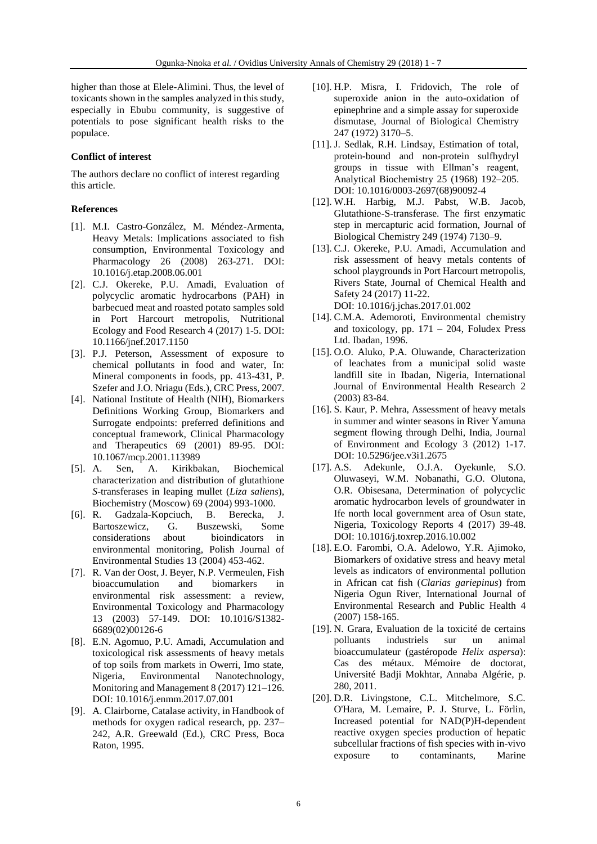higher than those at Elele-Alimini. Thus, the level of toxicants shown in the samples analyzed in this study, especially in Ebubu community, is suggestive of potentials to pose significant health risks to the populace.

# **Conflict of interest**

The authors declare no conflict of interest regarding this article.

# **References**

- [1]. M.I. Castro-González, M. Méndez-Armenta, Heavy Metals: Implications associated to fish consumption, Environmental Toxicology and Pharmacology 26 (2008) 263-271. DOI: 10.1016/j.etap.2008.06.001
- [2]. C.J. Okereke, P.U. Amadi, Evaluation of polycyclic aromatic hydrocarbons (PAH) in barbecued meat and roasted potato samples sold in Port Harcourt metropolis, Nutritional Ecology and Food Research 4 (2017) 1-5. DOI: 10.1166/jnef.2017.1150
- [3]. P.J. Peterson, Assessment of exposure to chemical pollutants in food and water, In: Mineral components in foods, pp. 413-431, P. Szefer and J.O. Nriagu (Eds.), CRC Press, 2007.
- [4]. National Institute of Health (NIH), Biomarkers Definitions Working Group, Biomarkers and Surrogate endpoints: preferred definitions and conceptual framework, Clinical Pharmacology and Therapeutics 69 (2001) 89-95. DOI: 10.1067/mcp.2001.113989
- [5]. A. Sen, A. Kirikbakan, Biochemical characterization and distribution of glutathione *S*-transferases in leaping mullet (*Liza saliens*), Biochemistry (Moscow) 69 (2004) 993-1000.
- [6]. R. Gadzala-Kopciuch, B. Berecka, J. Bartoszewicz, G. Buszewski, Some considerations about bioindicators in environmental monitoring, Polish Journal of Environmental Studies 13 (2004) 453-462.
- [7]. R. Van der Oost, J. Beyer, N.P. Vermeulen, Fish bioaccumulation and biomarkers in environmental risk assessment: a review, Environmental Toxicology and Pharmacology 13 (2003) 57-149. DOI: 10.1016/S1382- 6689(02)00126-6
- [8]. E.N. Agomuo, P.U. Amadi, Accumulation and toxicological risk assessments of heavy metals of top soils from markets in Owerri, Imo state, Nigeria, Environmental Nanotechnology, Monitoring and Management 8 (2017) 121–126. DOI: 10.1016/j.enmm.2017.07.001
- [9]. A. Clairborne, Catalase activity, in Handbook of methods for oxygen radical research, pp. 237– 242, A.R. Greewald (Ed.), CRC Press, Boca Raton, 1995.
- [10]. H.P. Misra, I. Fridovich, The role of superoxide anion in the auto-oxidation of epinephrine and a simple assay for superoxide dismutase, Journal of Biological Chemistry 247 (1972) 3170–5.
- [11]. J. Sedlak, R.H. Lindsay, Estimation of total, protein-bound and non-protein sulfhydryl groups in tissue with Ellman's reagent, Analytical Biochemistry 25 (1968) 192–205. DOI: 10.1016/0003-2697(68)90092-4
- [12]. W.H. Harbig, M.J. Pabst, W.B. Jacob, Glutathione-S-transferase. The first enzymatic step in mercapturic acid formation, Journal of Biological Chemistry 249 (1974) 7130–9.
- [13]. C.J. Okereke, P.U. Amadi, Accumulation and risk assessment of heavy metals contents of school playgrounds in Port Harcourt metropolis, Rivers State, Journal of Chemical Health and Safety 24 (2017) 11-22. DOI: 10.1016/j.jchas.2017.01.002
- [14]. C.M.A. Ademoroti, Environmental chemistry and toxicology, pp.  $171 - 204$ , Foludex Press Ltd. Ibadan, 1996.
- [15]. O.O. Aluko, P.A. Oluwande, Characterization of leachates from a municipal solid waste landfill site in Ibadan, Nigeria, International Journal of Environmental Health Research 2 (2003) 83-84.
- [16]. S. Kaur, P. Mehra, Assessment of heavy metals in summer and winter seasons in River Yamuna segment flowing through Delhi, India, Journal of Environment and Ecology 3 (2012) 1-17. DOI: 10.5296/jee.v3i1.2675
- [17]. A.S. Adekunle, O.J.A. Oyekunle, S.O. Oluwaseyi, W.M. Nobanathi, G.O. Olutona, O.R. Obisesana, Determination of polycyclic aromatic hydrocarbon levels of groundwater in Ife north local government area of Osun state, Nigeria, Toxicology Reports 4 (2017) 39-48. DOI: 10.1016/j.toxrep.2016.10.002
- [18]. E.O. Farombi, O.A. Adelowo, Y.R. Ajimoko, Biomarkers of oxidative stress and heavy metal levels as indicators of environmental pollution in African cat fish (*Clarias gariepinus*) from Nigeria Ogun River, International Journal of Environmental Research and Public Health 4 (2007) 158-165.
- [19]. N. Grara, Evaluation de la toxicité de certains polluants industriels sur un animal bioaccumulateur (gastéropode *Helix aspersa*): Cas des métaux. Mémoire de doctorat, Université Badji Mokhtar, Annaba Algérie, p. 280, 2011.
- [20]. D.R. Livingstone, C.L. Mitchelmore, S.C. O'Hara, M. Lemaire, P. J. Sturve, L. Förlin, Increased potential for NAD(P)H-dependent reactive oxygen species production of hepatic subcellular fractions of fish species with in-vivo exposure to contaminants, Marine